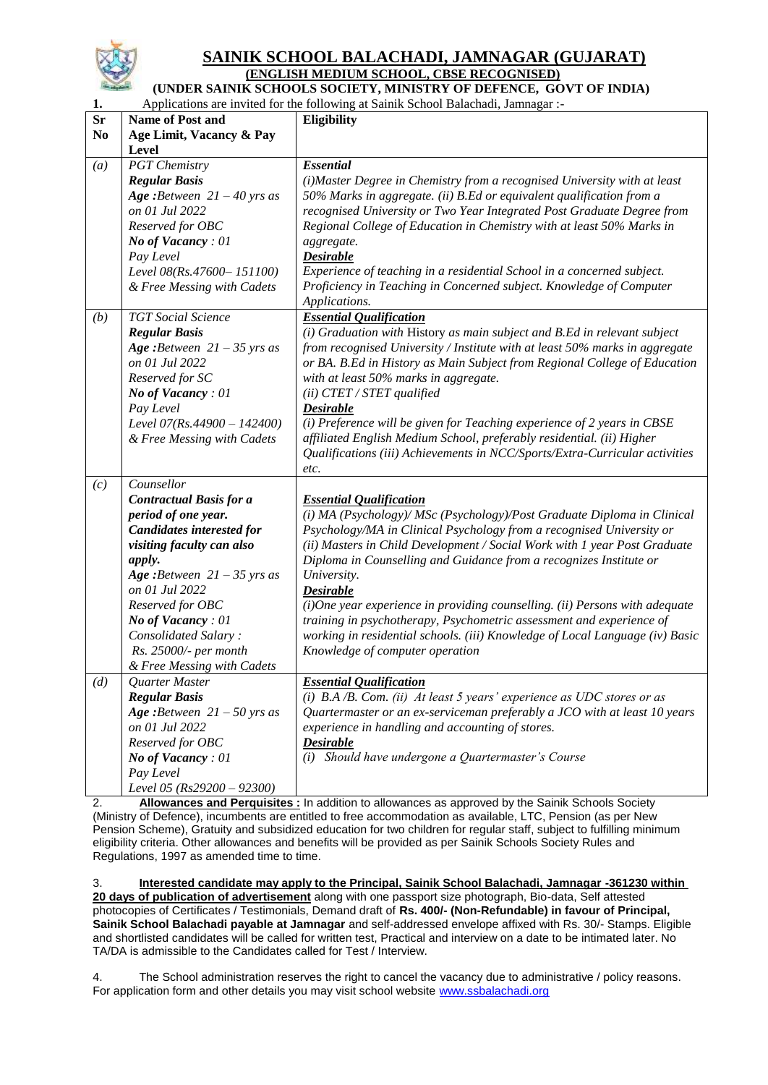

#### **SAINIK SCHOOL BALACHADI, JAMNAGAR (GUJARAT) (ENGLISH MEDIUM SCHOOL, CBSE RECOGNISED)**

**(UNDER SAINIK SCHOOLS SOCIETY, MINISTRY OF DEFENCE, GOVT OF INDIA)**

| 1.             | Applications are invited for the following at Sainik School Balachadi, Jamnagar :- |                                                                                                  |  |  |  |
|----------------|------------------------------------------------------------------------------------|--------------------------------------------------------------------------------------------------|--|--|--|
| <b>Sr</b>      | <b>Name of Post and</b>                                                            | <b>Eligibility</b>                                                                               |  |  |  |
| N <sub>0</sub> | Age Limit, Vacancy & Pay                                                           |                                                                                                  |  |  |  |
|                | Level                                                                              |                                                                                                  |  |  |  |
| (a)            | <b>PGT</b> Chemistry                                                               | <b>Essential</b>                                                                                 |  |  |  |
|                | <b>Regular Basis</b>                                                               | (i) Master Degree in Chemistry from a recognised University with at least                        |  |  |  |
|                | Age: Between $21 - 40$ yrs as                                                      | 50% Marks in aggregate. (ii) B.Ed or equivalent qualification from a                             |  |  |  |
|                | on 01 Jul 2022                                                                     | recognised University or Two Year Integrated Post Graduate Degree from                           |  |  |  |
|                | Reserved for OBC                                                                   | Regional College of Education in Chemistry with at least 50% Marks in                            |  |  |  |
|                | No of Vacancy: 01                                                                  | aggregate.                                                                                       |  |  |  |
|                | Pay Level                                                                          | <b>Desirable</b>                                                                                 |  |  |  |
|                |                                                                                    | Experience of teaching in a residential School in a concerned subject.                           |  |  |  |
|                | Level 08(Rs.47600-151100)                                                          |                                                                                                  |  |  |  |
|                | & Free Messing with Cadets                                                         | Proficiency in Teaching in Concerned subject. Knowledge of Computer                              |  |  |  |
|                |                                                                                    | Applications.                                                                                    |  |  |  |
| (b)            | <b>TGT</b> Social Science                                                          | <b>Essential Qualification</b>                                                                   |  |  |  |
|                | <b>Regular Basis</b>                                                               | (i) Graduation with History as main subject and B.Ed in relevant subject                         |  |  |  |
|                | Age: Between $21 - 35$ yrs as                                                      | from recognised University / Institute with at least 50% marks in aggregate                      |  |  |  |
|                | on 01 Jul 2022                                                                     | or BA. B.Ed in History as Main Subject from Regional College of Education                        |  |  |  |
|                | Reserved for SC                                                                    | with at least 50% marks in aggregate.                                                            |  |  |  |
|                | No of Vacancy: 01                                                                  | $(ii)$ CTET / STET qualified                                                                     |  |  |  |
|                | Pay Level                                                                          | <b>Desirable</b>                                                                                 |  |  |  |
|                | Level $07(Rs.44900 - 142400)$                                                      | (i) Preference will be given for Teaching experience of 2 years in CBSE                          |  |  |  |
|                | & Free Messing with Cadets                                                         | affiliated English Medium School, preferably residential. (ii) Higher                            |  |  |  |
|                |                                                                                    | Qualifications (iii) Achievements in NCC/Sports/Extra-Curricular activities                      |  |  |  |
|                |                                                                                    | etc.                                                                                             |  |  |  |
| (c)            | Counsellor                                                                         |                                                                                                  |  |  |  |
|                | <b>Contractual Basis for a</b>                                                     | <b>Essential Qualification</b>                                                                   |  |  |  |
|                | period of one year.                                                                | (i) MA (Psychology)/ MSc (Psychology)/Post Graduate Diploma in Clinical                          |  |  |  |
|                | Candidates interested for                                                          | Psychology/MA in Clinical Psychology from a recognised University or                             |  |  |  |
|                | visiting faculty can also                                                          | (ii) Masters in Child Development / Social Work with 1 year Post Graduate                        |  |  |  |
|                | apply.                                                                             | Diploma in Counselling and Guidance from a recognizes Institute or                               |  |  |  |
|                | Age: Between $21 - 35$ yrs as                                                      | University.                                                                                      |  |  |  |
|                | on 01 Jul 2022                                                                     | <b>Desirable</b>                                                                                 |  |  |  |
|                | Reserved for OBC                                                                   | $(i)$ One year experience in providing counselling. (ii) Persons with adequate                   |  |  |  |
|                |                                                                                    | training in psychotherapy, Psychometric assessment and experience of                             |  |  |  |
|                | No of Vacancy: 01                                                                  |                                                                                                  |  |  |  |
|                | Consolidated Salary:                                                               | working in residential schools. (iii) Knowledge of Local Language (iv) Basic                     |  |  |  |
|                | Rs. 25000/- per month                                                              | Knowledge of computer operation                                                                  |  |  |  |
|                | & Free Messing with Cadets                                                         |                                                                                                  |  |  |  |
| (d)            | Quarter Master                                                                     | <b>Essential Qualification</b>                                                                   |  |  |  |
|                | <b>Regular Basis</b>                                                               | (i) $B.A/B.$ Com. (ii) At least 5 years' experience as UDC stores or as                          |  |  |  |
|                | Age: Between $21 - 50$ yrs as                                                      | Quartermaster or an ex-serviceman preferably a JCO with at least 10 years                        |  |  |  |
|                | on 01 Jul 2022                                                                     | experience in handling and accounting of stores.                                                 |  |  |  |
|                | Reserved for OBC                                                                   | <b>Desirable</b>                                                                                 |  |  |  |
|                | <b>No of Vacancy</b> : 01                                                          | (i) Should have undergone a Quartermaster's Course                                               |  |  |  |
|                | Pay Level                                                                          |                                                                                                  |  |  |  |
|                | Level 05 (Rs29200 - 92300)                                                         |                                                                                                  |  |  |  |
| っ              |                                                                                    | Allowances and Perquisites · In addition to allowances as approved by the Sainik Schools Society |  |  |  |

2. **Allowances and Perquisites :** In addition to allowances as approved by the Sainik Schools Society (Ministry of Defence), incumbents are entitled to free accommodation as available, LTC, Pension (as per New Pension Scheme), Gratuity and subsidized education for two children for regular staff, subject to fulfilling minimum eligibility criteria. Other allowances and benefits will be provided as per Sainik Schools Society Rules and Regulations, 1997 as amended time to time.

3. **Interested candidate may apply to the Principal, Sainik School Balachadi, Jamnagar -361230 within 20 days of publication of advertisement** along with one passport size photograph, Bio-data, Self attested photocopies of Certificates / Testimonials, Demand draft of **Rs. 400/- (Non-Refundable) in favour of Principal, Sainik School Balachadi payable at Jamnagar** and self-addressed envelope affixed with Rs. 30/- Stamps. Eligible and shortlisted candidates will be called for written test, Practical and interview on a date to be intimated later. No TA/DA is admissible to the Candidates called for Test / Interview.

4. The School administration reserves the right to cancel the vacancy due to administrative / policy reasons. For application form and other details you may visit school website [www.ssbalachadi.org](http://www.ssbalachadi.org/)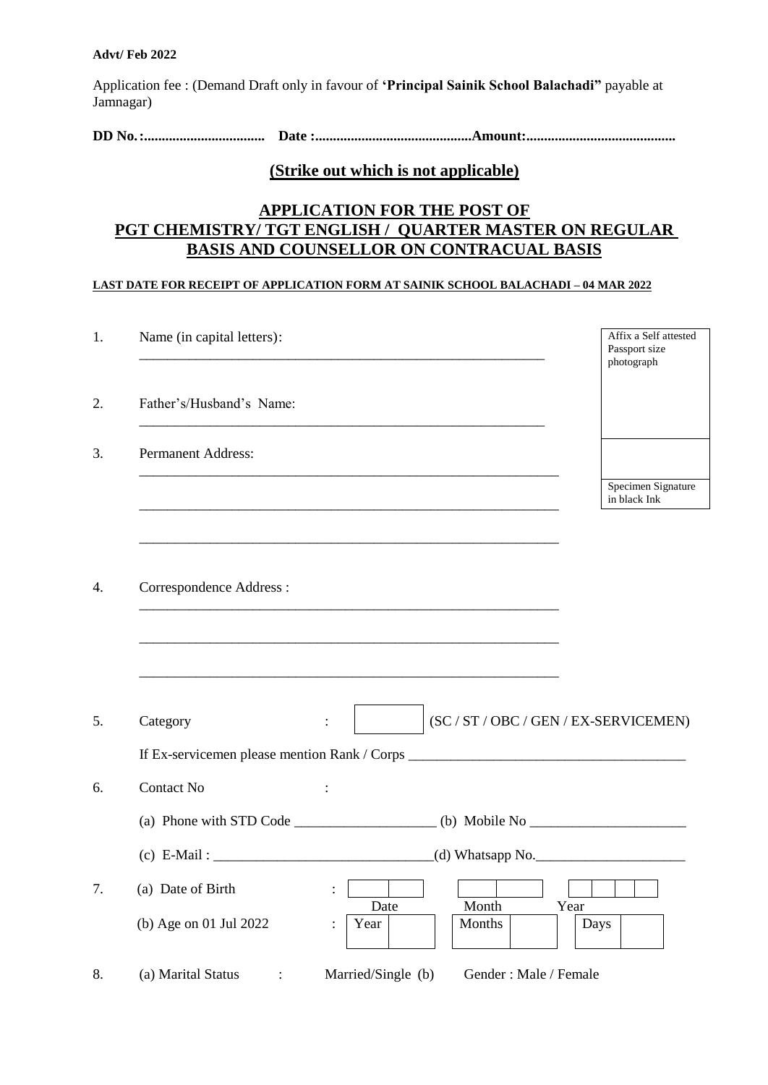Application fee : (Demand Draft only in favour of **'Principal Sainik School Balachadi"** payable at Jamnagar)

**DD No.:.................................. Date :............................................Amount:..........................................**

#### **(Strike out which is not applicable)**

# **APPLICATION FOR THE POST OF PGT CHEMISTRY/ TGT ENGLISH / QUARTER MASTER ON REGULAR BASIS AND COUNSELLOR ON CONTRACUAL BASIS**

#### **LAST DATE FOR RECEIPT OF APPLICATION FORM AT SAINIK SCHOOL BALACHADI – 04 MAR 2022**

| Name (in capital letters):                                                          | Affix a Self attested<br>Passport size<br>photograph |
|-------------------------------------------------------------------------------------|------------------------------------------------------|
| Father's/Husband's Name:                                                            |                                                      |
| <b>Permanent Address:</b>                                                           |                                                      |
|                                                                                     | Specimen Signature<br>in black Ink                   |
| Correspondence Address :                                                            |                                                      |
|                                                                                     |                                                      |
|                                                                                     |                                                      |
| (SC / ST / OBC / GEN / EX-SERVICEMEN)<br>Category<br>$\ddot{\cdot}$                 |                                                      |
|                                                                                     |                                                      |
| <b>Contact No</b>                                                                   |                                                      |
|                                                                                     |                                                      |
|                                                                                     |                                                      |
| (a) Date of Birth<br>$\ddot{\cdot}$                                                 |                                                      |
| Month<br>Date<br>Year<br>(b) Age on 01 Jul 2022<br>Year<br>Months<br>$\ddot{\cdot}$ | Days                                                 |
| Married/Single (b)<br>(a) Marital Status<br>Gender: Male / Female                   |                                                      |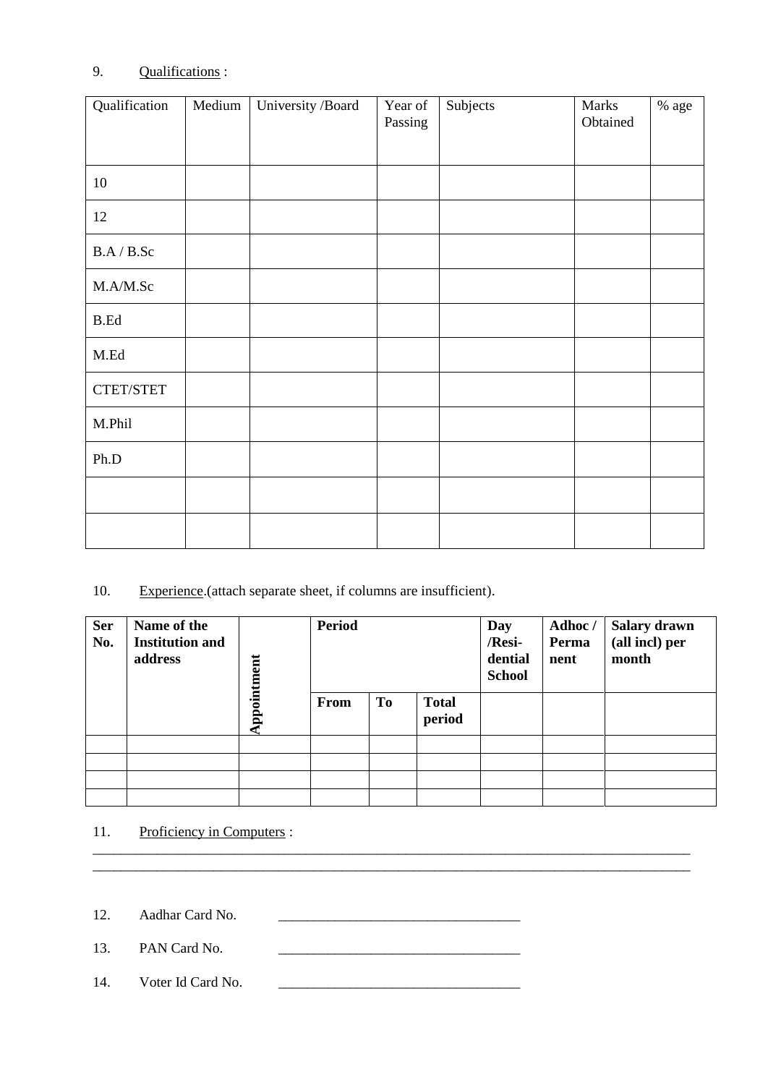# 9. Qualifications :

| Qualification | Medium | University /Board | Year of<br>Passing | Subjects | Marks<br>Obtained | $\%$ age |
|---------------|--------|-------------------|--------------------|----------|-------------------|----------|
| 10            |        |                   |                    |          |                   |          |
| 12            |        |                   |                    |          |                   |          |
| B.A / B.Sc    |        |                   |                    |          |                   |          |
| M.A/M.Sc      |        |                   |                    |          |                   |          |
| <b>B.Ed</b>   |        |                   |                    |          |                   |          |
| M.Ed          |        |                   |                    |          |                   |          |
| CTET/STET     |        |                   |                    |          |                   |          |
| M.Phil        |        |                   |                    |          |                   |          |
| Ph.D          |        |                   |                    |          |                   |          |
|               |        |                   |                    |          |                   |          |
|               |        |                   |                    |          |                   |          |

## 10. Experience. (attach separate sheet, if columns are insufficient).

| <b>Ser</b><br>No. | Name of the<br><b>Institution and</b><br>address |             | <b>Period</b> |    | Day<br>/Resi-<br>dential<br><b>School</b> | Adhoc/<br>Perma<br>nent | <b>Salary drawn</b><br>(all incl) per<br>month |  |
|-------------------|--------------------------------------------------|-------------|---------------|----|-------------------------------------------|-------------------------|------------------------------------------------|--|
|                   |                                                  | Appointment | From          | To | <b>Total</b><br>period                    |                         |                                                |  |
|                   |                                                  |             |               |    |                                           |                         |                                                |  |
|                   |                                                  |             |               |    |                                           |                         |                                                |  |
|                   |                                                  |             |               |    |                                           |                         |                                                |  |
|                   |                                                  |             |               |    |                                           |                         |                                                |  |

\_\_\_\_\_\_\_\_\_\_\_\_\_\_\_\_\_\_\_\_\_\_\_\_\_\_\_\_\_\_\_\_\_\_\_\_\_\_\_\_\_\_\_\_\_\_\_\_\_\_\_\_\_\_\_\_\_\_\_\_\_\_\_\_\_\_\_\_\_\_\_\_\_\_\_\_\_\_\_\_\_\_\_\_ \_\_\_\_\_\_\_\_\_\_\_\_\_\_\_\_\_\_\_\_\_\_\_\_\_\_\_\_\_\_\_\_\_\_\_\_\_\_\_\_\_\_\_\_\_\_\_\_\_\_\_\_\_\_\_\_\_\_\_\_\_\_\_\_\_\_\_\_\_\_\_\_\_\_\_\_\_\_\_\_\_\_\_\_

### 11. Proficiency in Computers :

12. Aadhar Card No. \_\_\_\_\_\_\_\_\_\_\_\_\_\_\_\_\_\_\_\_\_\_\_\_\_\_\_\_\_\_\_\_\_\_

13. PAN Card No.

14. Voter Id Card No.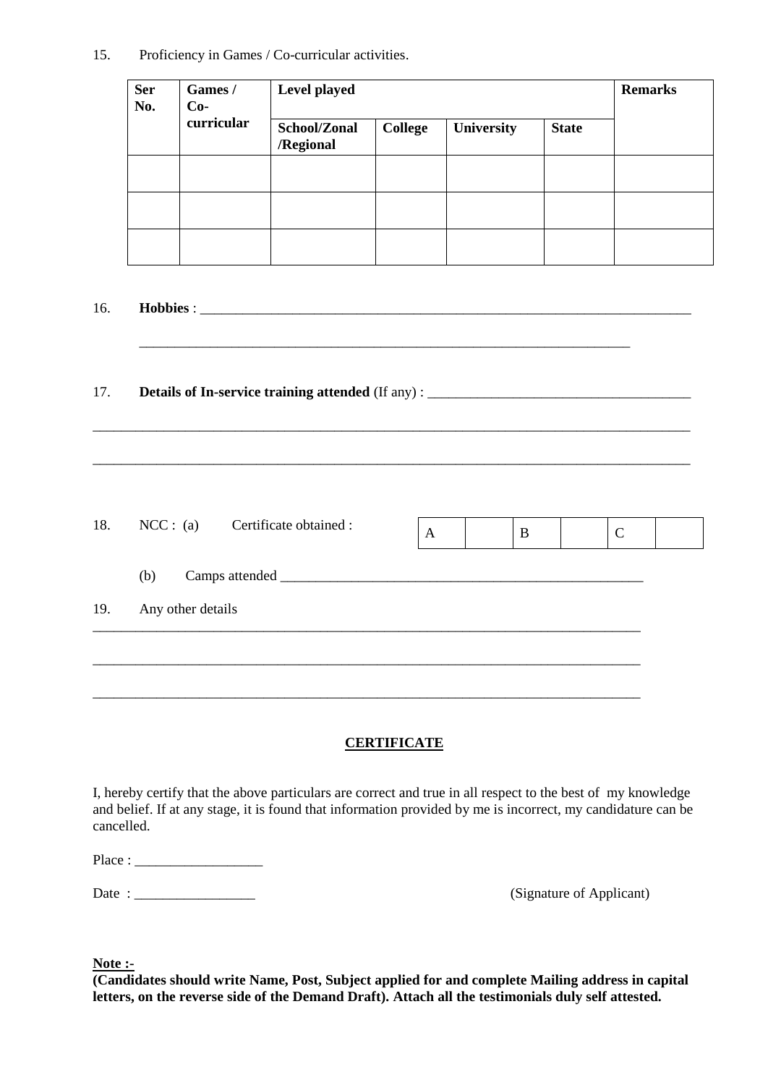15. Proficiency in Games / Co-curricular activities.

| <b>Ser</b><br>No. | Games /<br>$Co-$ | Level played              | <b>Remarks</b> |            |              |  |
|-------------------|------------------|---------------------------|----------------|------------|--------------|--|
|                   | curricular       | School/Zonal<br>/Regional | <b>College</b> | University | <b>State</b> |  |
|                   |                  |                           |                |            |              |  |
|                   |                  |                           |                |            |              |  |
|                   |                  |                           |                |            |              |  |

16. **Hobbies** : \_\_\_\_\_\_\_\_\_\_\_\_\_\_\_\_\_\_\_\_\_\_\_\_\_\_\_\_\_\_\_\_\_\_\_\_\_\_\_\_\_\_\_\_\_\_\_\_\_\_\_\_\_\_\_\_\_\_\_\_\_\_\_\_\_\_\_\_\_

#### 17. **Details of In-service training attended** (If any) : \_\_\_\_\_\_\_\_\_\_\_\_\_\_\_\_\_\_\_\_\_\_\_\_\_\_\_\_\_\_\_\_\_\_\_\_\_

| 18. | NCC: (a) Certificate obtained : | A | B | $\mathbf C$ |  |
|-----|---------------------------------|---|---|-------------|--|
|     | (b)                             |   |   |             |  |
| 19. | Any other details               |   |   |             |  |
|     |                                 |   |   |             |  |
|     |                                 |   |   |             |  |

\_\_\_\_\_\_\_\_\_\_\_\_\_\_\_\_\_\_\_\_\_\_\_\_\_\_\_\_\_\_\_\_\_\_\_\_\_\_\_\_\_\_\_\_\_\_\_\_\_\_\_\_\_\_\_\_\_\_\_\_\_\_\_\_\_\_\_\_\_

\_\_\_\_\_\_\_\_\_\_\_\_\_\_\_\_\_\_\_\_\_\_\_\_\_\_\_\_\_\_\_\_\_\_\_\_\_\_\_\_\_\_\_\_\_\_\_\_\_\_\_\_\_\_\_\_\_\_\_\_\_\_\_\_\_\_\_\_\_\_\_\_\_\_\_\_\_\_\_\_\_\_\_\_

\_\_\_\_\_\_\_\_\_\_\_\_\_\_\_\_\_\_\_\_\_\_\_\_\_\_\_\_\_\_\_\_\_\_\_\_\_\_\_\_\_\_\_\_\_\_\_\_\_\_\_\_\_\_\_\_\_\_\_\_\_\_\_\_\_\_\_\_\_\_\_\_\_\_\_\_\_\_\_\_\_\_\_\_

#### **CERTIFICATE**

I, hereby certify that the above particulars are correct and true in all respect to the best of my knowledge and belief. If at any stage, it is found that information provided by me is incorrect, my candidature can be cancelled.

| Place: |  |  |
|--------|--|--|
|--------|--|--|

Date : \_\_\_\_\_\_\_\_\_\_\_\_\_\_\_\_\_ (Signature of Applicant)

**Note :-**

**(Candidates should write Name, Post, Subject applied for and complete Mailing address in capital letters, on the reverse side of the Demand Draft). Attach all the testimonials duly self attested.**